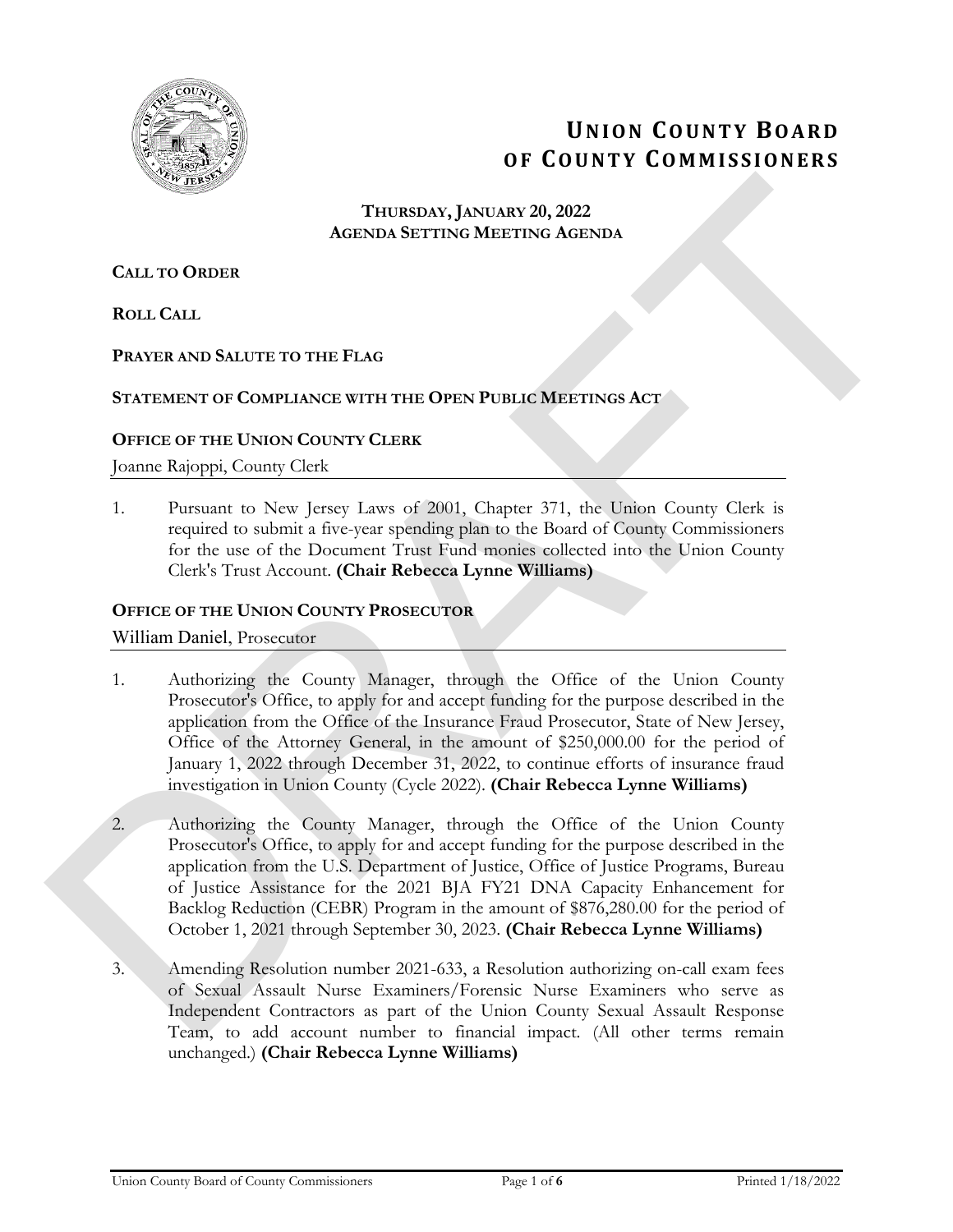

# **UNION COUNTY BOARD OF COUNTY COMMISSIONERS**

## **THURSDAY, JANUARY 20, 2022 AGENDA SETTING MEETING AGENDA**

# **CALL TO ORDER**

**ROLL CALL**

# **PRAYER AND SALUTE TO THE FLAG**

# **STATEMENT OF COMPLIANCE WITH THE OPEN PUBLIC MEETINGS ACT**

# **OFFICE OF THE UNION COUNTY CLERK**

Joanne Rajoppi, County Clerk

1. Pursuant to New Jersey Laws of 2001, Chapter 371, the Union County Clerk is required to submit a five-year spending plan to the Board of County Commissioners for the use of the Document Trust Fund monies collected into the Union County Clerk's Trust Account. **(Chair Rebecca Lynne Williams)**

#### **OFFICE OF THE UNION COUNTY PROSECUTOR**

William Daniel, Prosecutor

- 1. Authorizing the County Manager, through the Office of the Union County Prosecutor's Office, to apply for and accept funding for the purpose described in the application from the Office of the Insurance Fraud Prosecutor, State of New Jersey, Office of the Attorney General, in the amount of \$250,000.00 for the period of January 1, 2022 through December 31, 2022, to continue efforts of insurance fraud investigation in Union County (Cycle 2022). **(Chair Rebecca Lynne Williams)**
- 2. Authorizing the County Manager, through the Office of the Union County Prosecutor's Office, to apply for and accept funding for the purpose described in the application from the U.S. Department of Justice, Office of Justice Programs, Bureau of Justice Assistance for the 2021 BJA FY21 DNA Capacity Enhancement for Backlog Reduction (CEBR) Program in the amount of \$876,280.00 for the period of October 1, 2021 through September 30, 2023. **(Chair Rebecca Lynne Williams)** THURSDAY JANUARY 20, 2022<br>
AGENDA SETTING MEETING AGENDA<br>
CALL TO ORDER<br>
CALL TO ORDER<br>
NOLL CALL<br>
PRAYER AND SAUTIT TO THE FLAG<br>
STATEMENT OF COMPLIANCE WITH THE OPEN POBLIC METITING ACT<br>
THE PRAYER AND SAUTIT TO THE FLAG
	- 3. Amending Resolution number 2021-633, a Resolution authorizing on-call exam fees of Sexual Assault Nurse Examiners/Forensic Nurse Examiners who serve as Independent Contractors as part of the Union County Sexual Assault Response Team, to add account number to financial impact. (All other terms remain unchanged.) **(Chair Rebecca Lynne Williams)**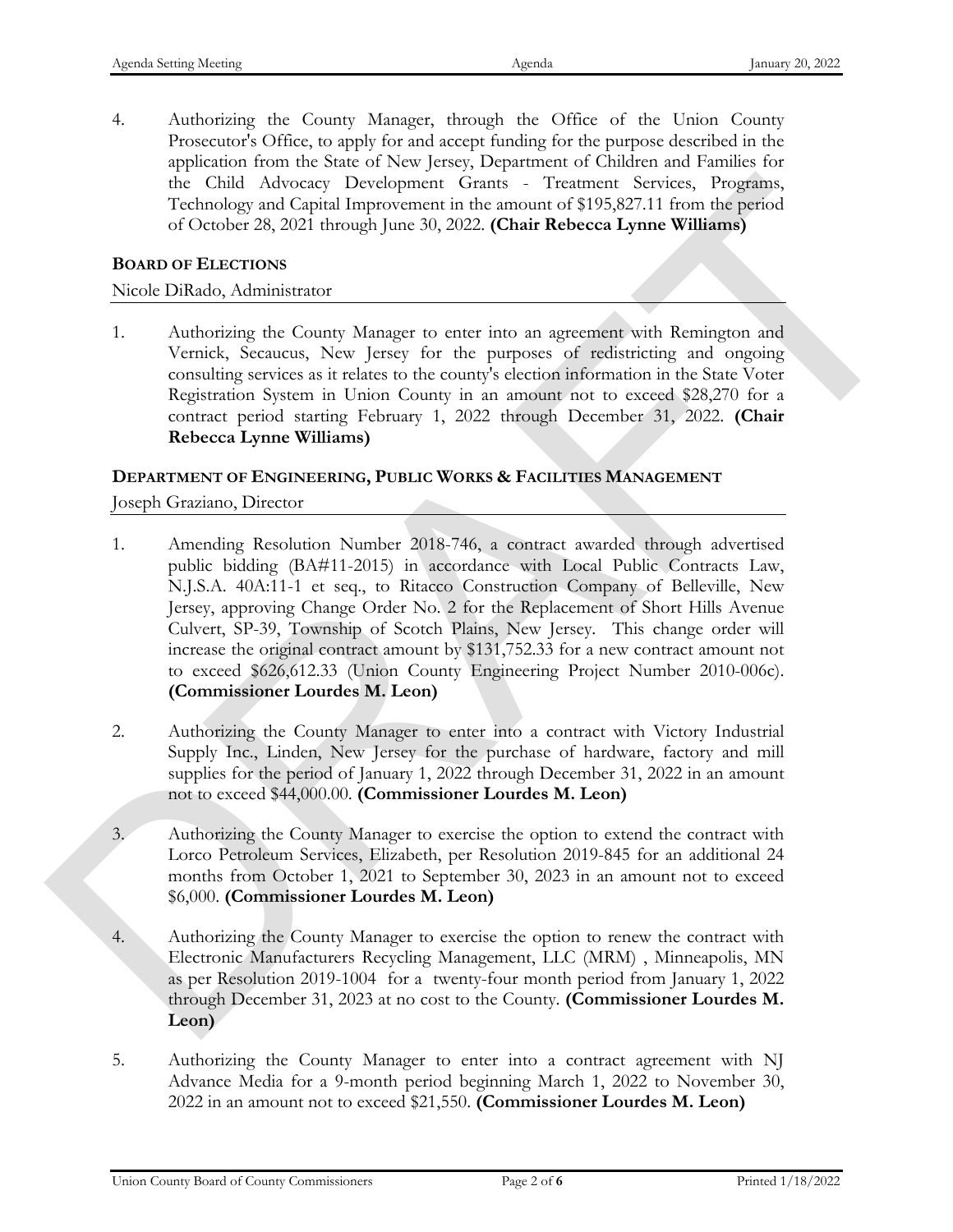4. Authorizing the County Manager, through the Office of the Union County Prosecutor's Office, to apply for and accept funding for the purpose described in the application from the State of New Jersey, Department of Children and Families for the Child Advocacy Development Grants - Treatment Services, Programs, Technology and Capital Improvement in the amount of \$195,827.11 from the period of October 28, 2021 through June 30, 2022. **(Chair Rebecca Lynne Williams)**

#### **BOARD OF ELECTIONS**

#### Nicole DiRado, Administrator

1. Authorizing the County Manager to enter into an agreement with Remington and Vernick, Secaucus, New Jersey for the purposes of redistricting and ongoing consulting services as it relates to the county's election information in the State Voter Registration System in Union County in an amount not to exceed \$28,270 for a contract period starting February 1, 2022 through December 31, 2022. **(Chair Rebecca Lynne Williams)**

#### **DEPARTMENT OF ENGINEERING, PUBLIC WORKS & FACILITIES MANAGEMENT**

Joseph Graziano, Director

- 1. Amending Resolution Number 2018-746, a contract awarded through advertised public bidding (BA#11-2015) in accordance with Local Public Contracts Law, N.J.S.A. 40A:11-1 et seq., to Ritacco Construction Company of Belleville, New Jersey, approving Change Order No. 2 for the Replacement of Short Hills Avenue Culvert, SP-39, Township of Scotch Plains, New Jersey. This change order will increase the original contract amount by \$131,752.33 for a new contract amount not to exceed \$626,612.33 (Union County Engineering Project Number 2010-006c). **(Commissioner Lourdes M. Leon)** In Chall Mosters Decretions (Firms Treatment Services)<br>Televising and Capital Improvement in the amasin of 31%322.11 from the genuid<br>
σύσικο S. 302 through June 30, 2022 (Chair Rebecca Lymne Williams)<br>
DOAMO DELACTONS<br>
	- 2. Authorizing the County Manager to enter into a contract with Victory Industrial Supply Inc., Linden, New Jersey for the purchase of hardware, factory and mill supplies for the period of January 1, 2022 through December 31, 2022 in an amount not to exceed \$44,000.00. **(Commissioner Lourdes M. Leon)**
	- 3. Authorizing the County Manager to exercise the option to extend the contract with Lorco Petroleum Services, Elizabeth, per Resolution 2019-845 for an additional 24 months from October 1, 2021 to September 30, 2023 in an amount not to exceed \$6,000. **(Commissioner Lourdes M. Leon)**
	- 4. Authorizing the County Manager to exercise the option to renew the contract with Electronic Manufacturers Recycling Management, LLC (MRM) , Minneapolis, MN as per Resolution 2019-1004 for a twenty-four month period from January 1, 2022 through December 31, 2023 at no cost to the County. **(Commissioner Lourdes M. Leon)**
	- 5. Authorizing the County Manager to enter into a contract agreement with NJ Advance Media for a 9-month period beginning March 1, 2022 to November 30, 2022 in an amount not to exceed \$21,550. **(Commissioner Lourdes M. Leon)**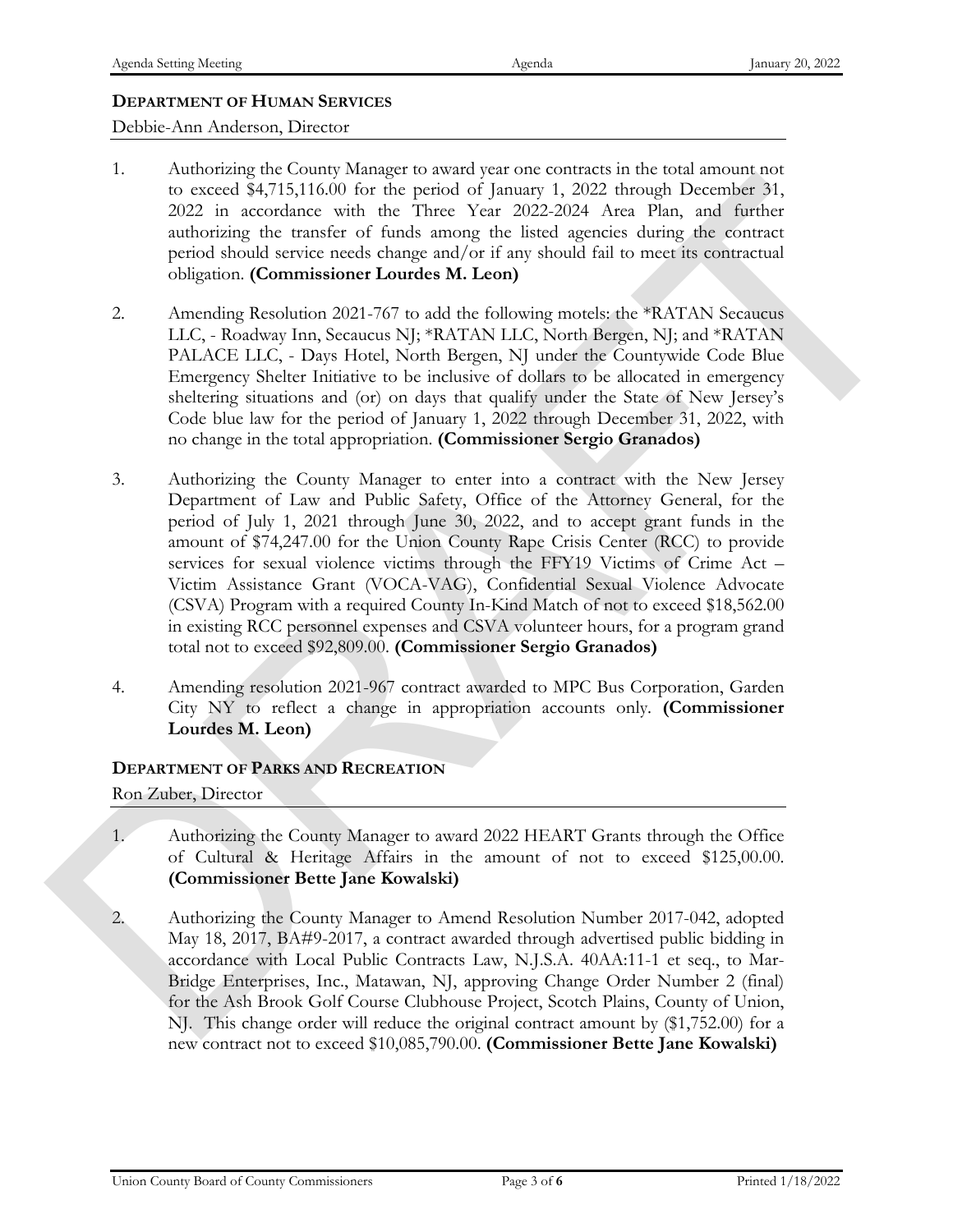# **DEPARTMENT OF HUMAN SERVICES**

Debbie-Ann Anderson, Director

- 1. Authorizing the County Manager to award year one contracts in the total amount not to exceed \$4,715,116.00 for the period of January 1, 2022 through December 31, 2022 in accordance with the Three Year 2022-2024 Area Plan, and further authorizing the transfer of funds among the listed agencies during the contract period should service needs change and/or if any should fail to meet its contractual obligation. **(Commissioner Lourdes M. Leon)**
- 2. Amending Resolution 2021-767 to add the following motels: the \*RATAN Secaucus LLC, - Roadway Inn, Secaucus NJ; \*RATAN LLC, North Bergen, NJ; and \*RATAN PALACE LLC, - Days Hotel, North Bergen, NJ under the Countywide Code Blue Emergency Shelter Initiative to be inclusive of dollars to be allocated in emergency sheltering situations and (or) on days that qualify under the State of New Jersey's Code blue law for the period of January 1, 2022 through December 31, 2022, with no change in the total appropriation. **(Commissioner Sergio Granados)**
- 3. Authorizing the County Manager to enter into a contract with the New Jersey Department of Law and Public Safety, Office of the Attorney General, for the period of July 1, 2021 through June 30, 2022, and to accept grant funds in the amount of \$74,247.00 for the Union County Rape Crisis Center (RCC) to provide services for sexual violence victims through the FFY19 Victims of Crime Act – Victim Assistance Grant (VOCA-VAG), Confidential Sexual Violence Advocate (CSVA) Program with a required County In-Kind Match of not to exceed \$18,562.00 in existing RCC personnel expenses and CSVA volunteer hours, for a program grand total not to exceed \$92,809.00. **(Commissioner Sergio Granados)** to concert St.7,5,11600 for the period of Juneary (1, 2022) theoretical at the period boundary state the period should service reach change (1, 2022). The state of the period should service reach change and/or (in sy shou
	- 4. Amending resolution 2021-967 contract awarded to MPC Bus Corporation, Garden City NY to reflect a change in appropriation accounts only. **(Commissioner Lourdes M. Leon)**

#### **DEPARTMENT OF PARKS AND RECREATION**

Ron Zuber, Director

- 1. Authorizing the County Manager to award 2022 HEART Grants through the Office of Cultural & Heritage Affairs in the amount of not to exceed \$125,00.00. **(Commissioner Bette Jane Kowalski)**
- 2. Authorizing the County Manager to Amend Resolution Number 2017-042, adopted May 18, 2017, BA#9-2017, a contract awarded through advertised public bidding in accordance with Local Public Contracts Law, N.J.S.A. 40AA:11-1 et seq., to Mar-Bridge Enterprises, Inc., Matawan, NJ, approving Change Order Number 2 (final) for the Ash Brook Golf Course Clubhouse Project, Scotch Plains, County of Union, NJ. This change order will reduce the original contract amount by (\$1,752.00) for a new contract not to exceed \$10,085,790.00. **(Commissioner Bette Jane Kowalski)**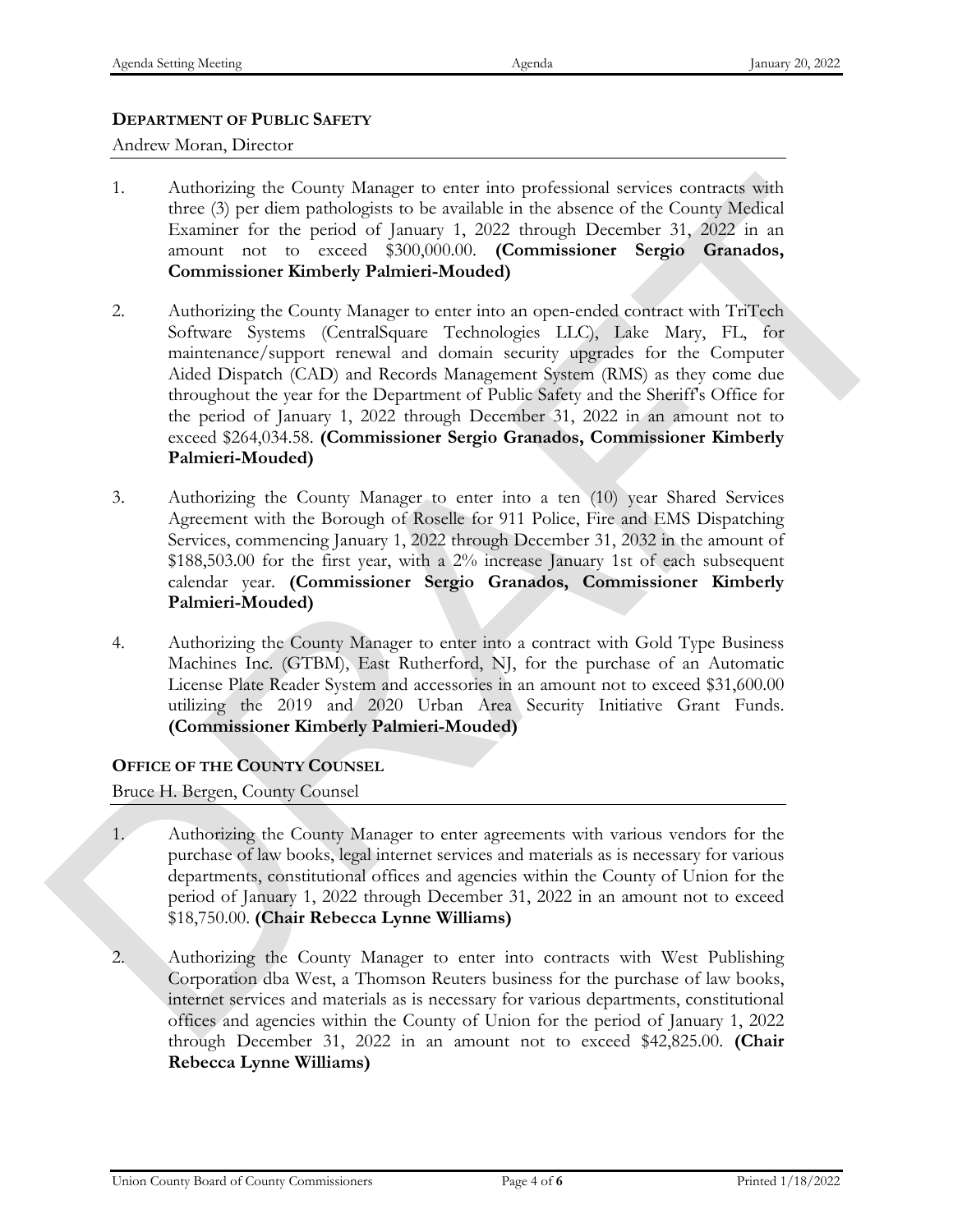# **DEPARTMENT OF PUBLIC SAFETY**

Andrew Moran, Director

- 1. Authorizing the County Manager to enter into professional services contracts with three (3) per diem pathologists to be available in the absence of the County Medical Examiner for the period of January 1, 2022 through December 31, 2022 in an amount not to exceed \$300,000.00. **(Commissioner Sergio Granados, Commissioner Kimberly Palmieri-Mouded)**
- 2. Authorizing the County Manager to enter into an open-ended contract with TriTech Software Systems (CentralSquare Technologies LLC), Lake Mary, FL, for maintenance/support renewal and domain security upgrades for the Computer Aided Dispatch (CAD) and Records Management System (RMS) as they come due throughout the year for the Department of Public Safety and the Sheriff's Office for the period of January 1, 2022 through December 31, 2022 in an amount not to exceed \$264,034.58. **(Commissioner Sergio Granados, Commissioner Kimberly Palmieri-Mouded)** 1. Authoring the County Vanger to court with profitsional services contracts with a<br>mean of the particular control of the county Medicin the sheetee of the County Medicin<br>Lixmanc for the pench of Jamaxy 1, 2022 in and any
	- 3. Authorizing the County Manager to enter into a ten (10) year Shared Services Agreement with the Borough of Roselle for 911 Police, Fire and EMS Dispatching Services, commencing January 1, 2022 through December 31, 2032 in the amount of \$188,503.00 for the first year, with a 2% increase January 1st of each subsequent calendar year. **(Commissioner Sergio Granados, Commissioner Kimberly Palmieri-Mouded)**
	- 4. Authorizing the County Manager to enter into a contract with Gold Type Business Machines Inc. (GTBM), East Rutherford, NJ, for the purchase of an Automatic License Plate Reader System and accessories in an amount not to exceed \$31,600.00 utilizing the 2019 and 2020 Urban Area Security Initiative Grant Funds. **(Commissioner Kimberly Palmieri-Mouded)**

### **OFFICE OF THE COUNTY COUNSEL**

Bruce H. Bergen, County Counsel

- 1. Authorizing the County Manager to enter agreements with various vendors for the purchase of law books, legal internet services and materials as is necessary for various departments, constitutional offices and agencies within the County of Union for the period of January 1, 2022 through December 31, 2022 in an amount not to exceed \$18,750.00. **(Chair Rebecca Lynne Williams)**
- 2. Authorizing the County Manager to enter into contracts with West Publishing Corporation dba West, a Thomson Reuters business for the purchase of law books, internet services and materials as is necessary for various departments, constitutional offices and agencies within the County of Union for the period of January 1, 2022 through December 31, 2022 in an amount not to exceed \$42,825.00. **(Chair Rebecca Lynne Williams)**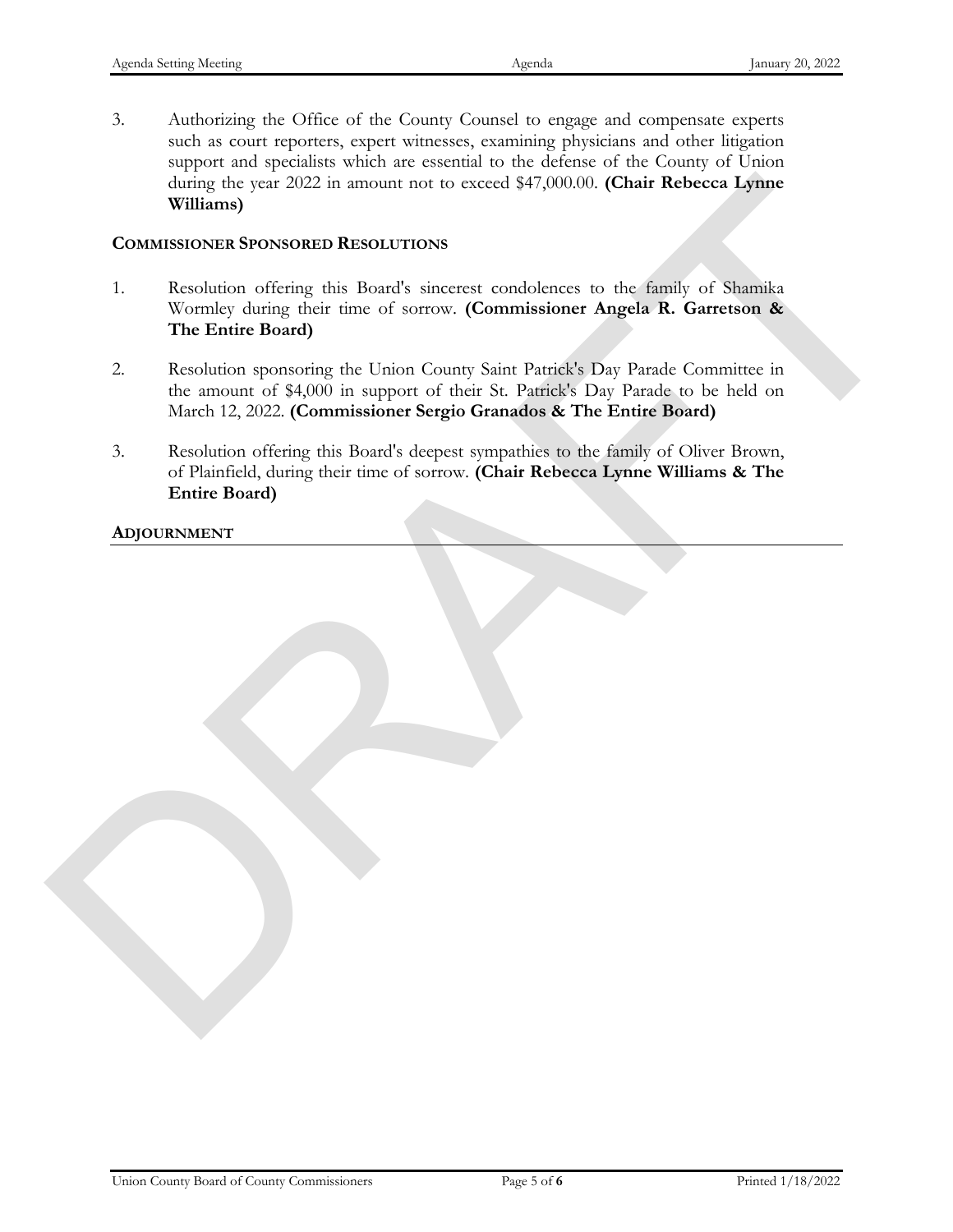3. Authorizing the Office of the County Counsel to engage and compensate experts such as court reporters, expert witnesses, examining physicians and other litigation support and specialists which are essential to the defense of the County of Union during the year 2022 in amount not to exceed \$47,000.00. **(Chair Rebecca Lynne Williams)**

#### **COMMISSIONER SPONSORED RESOLUTIONS**

- 1. Resolution offering this Board's sincerest condolences to the family of Shamika Wormley during their time of sorrow. **(Commissioner Angela R. Garretson & The Entire Board)** University the year 2002 in amount not to everel \$47,000.00. (Chair Rebreca Lymne<br>Williams)<br>COMMISSIONED RESOLUTIONS<br>1. Resolution of their Board's since on conditionary to the family of Shamilya discussions<br>2. Resolution
	- 2. Resolution sponsoring the Union County Saint Patrick's Day Parade Committee in the amount of \$4,000 in support of their St. Patrick's Day Parade to be held on March 12, 2022. **(Commissioner Sergio Granados & The Entire Board)**
	- 3. Resolution offering this Board's deepest sympathies to the family of Oliver Brown, of Plainfield, during their time of sorrow. **(Chair Rebecca Lynne Williams & The Entire Board)**

**ADJOURNMENT**